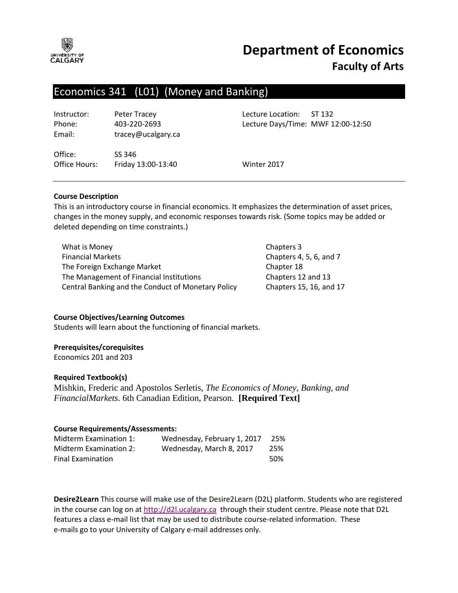

# **Department of Economics Faculty of Arts**

# Economics 341 (L01) (Money and Banking)

Instructor: Peter Tracey Lecture Location: ST 132 Email: tracey@ucalgary.ca

Phone: 403-220-2693 Lecture Days/Time: MWF 12:00-12:50

Office: SS 346 Office Hours: Friday 13:00-13:40 Winter 2017

# **Course Description**

This is an introductory course in financial economics. It emphasizes the determination of asset prices, changes in the money supply, and economic responses towards risk. (Some topics may be added or deleted depending on time constraints.)

| What is Money                                      | Chapters 3              |
|----------------------------------------------------|-------------------------|
| <b>Financial Markets</b>                           | Chapters 4, 5, 6, and 7 |
| The Foreign Exchange Market                        | Chapter 18              |
| The Management of Financial Institutions           | Chapters 12 and 13      |
| Central Banking and the Conduct of Monetary Policy | Chapters 15, 16, and 17 |

#### **Course Objectives/Learning Outcomes**

Students will learn about the functioning of financial markets.

#### **Prerequisites/corequisites**

Economics 201 and 203

#### **Required Textbook(s)**

Mishkin, Frederic and Apostolos Serletis, *The Economics of Money, Banking, and FinancialMarkets*. 6th Canadian Edition, Pearson. **[Required Text]**

#### **Course Requirements/Assessments:**

| Midterm Examination 1:        | Wednesday, February 1, 2017 | 25% |
|-------------------------------|-----------------------------|-----|
| <b>Midterm Examination 2:</b> | Wednesday, March 8, 2017    | 25% |
| <b>Final Examination</b>      |                             | 50% |

**Desire2Learn** This course will make use of the Desire2Learn (D2L) platform. Students who are registered in the course can log on at [http://d2l.ucalgary.ca](http://d2l.ucalgary.ca/) through their student centre. Please note that D2L features a class e-mail list that may be used to distribute course-related information. These e-mails go to your University of Calgary e-mail addresses only.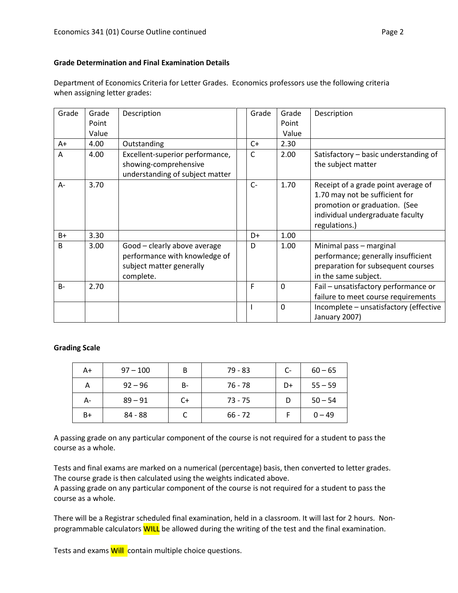# **Grade Determination and Final Examination Details**

Department of Economics Criteria for Letter Grades. Economics professors use the following criteria when assigning letter grades:

| Grade | Grade | Description                                                                                            | Grade        | Grade        | Description                                                                                                                                                 |
|-------|-------|--------------------------------------------------------------------------------------------------------|--------------|--------------|-------------------------------------------------------------------------------------------------------------------------------------------------------------|
|       | Point |                                                                                                        |              | Point        |                                                                                                                                                             |
|       | Value |                                                                                                        |              | Value        |                                                                                                                                                             |
| A+    | 4.00  | Outstanding                                                                                            | $C+$         | 2.30         |                                                                                                                                                             |
| A     | 4.00  | Excellent-superior performance,<br>showing-comprehensive<br>understanding of subject matter            | C            | 2.00         | Satisfactory - basic understanding of<br>the subject matter                                                                                                 |
| $A -$ | 3.70  |                                                                                                        | $C -$        | 1.70         | Receipt of a grade point average of<br>1.70 may not be sufficient for<br>promotion or graduation. (See<br>individual undergraduate faculty<br>regulations.) |
| $B+$  | 3.30  |                                                                                                        | D+           | 1.00         |                                                                                                                                                             |
| B     | 3.00  | Good - clearly above average<br>performance with knowledge of<br>subject matter generally<br>complete. | D            | 1.00         | Minimal pass - marginal<br>performance; generally insufficient<br>preparation for subsequent courses<br>in the same subject.                                |
| $B -$ | 2.70  |                                                                                                        | F            | $\mathbf 0$  | Fail - unsatisfactory performance or<br>failure to meet course requirements                                                                                 |
|       |       |                                                                                                        | $\mathbf{I}$ | $\mathbf{0}$ | Incomplete - unsatisfactory (effective<br>January 2007)                                                                                                     |

# **Grading Scale**

| A+   | $97 - 100$ | B  | 79 - 83   | C- | $60 - 65$ |
|------|------------|----|-----------|----|-----------|
| А    | $92 - 96$  | В- | 76 - 78   | D+ | $55 - 59$ |
| А-   | $89 - 91$  | C+ | $73 - 75$ | D  | $50 - 54$ |
| $B+$ | 84 - 88    |    | $66 - 72$ |    | $0 - 49$  |

A passing grade on any particular component of the course is not required for a student to pass the course as a whole.

Tests and final exams are marked on a numerical (percentage) basis, then converted to letter grades. The course grade is then calculated using the weights indicated above.

A passing grade on any particular component of the course is not required for a student to pass the course as a whole.

There will be a Registrar scheduled final examination, held in a classroom. It will last for 2 hours. Nonprogrammable calculators **WILL** be allowed during the writing of the test and the final examination.

Tests and exams **Will** contain multiple choice questions.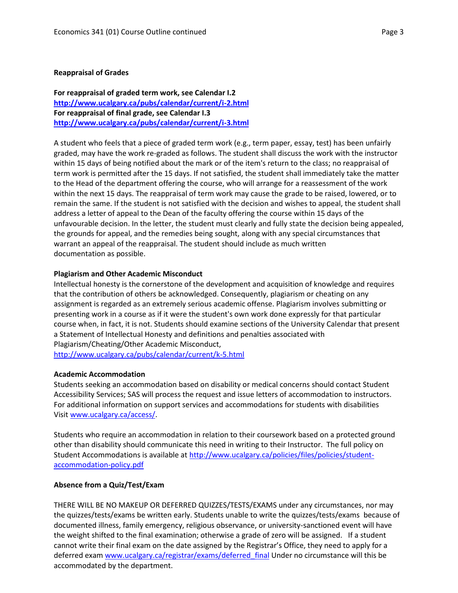#### **Reappraisal of Grades**

**For reappraisal of graded term work, see Calendar I.2 <http://www.ucalgary.ca/pubs/calendar/current/i-2.html> For reappraisal of final grade, see Calendar I.3 <http://www.ucalgary.ca/pubs/calendar/current/i-3.html>**

A student who feels that a piece of graded term work (e.g., term paper, essay, test) has been unfairly graded, may have the work re-graded as follows. The student shall discuss the work with the instructor within 15 days of being notified about the mark or of the item's return to the class; no reappraisal of term work is permitted after the 15 days. If not satisfied, the student shall immediately take the matter to the Head of the department offering the course, who will arrange for a reassessment of the work within the next 15 days. The reappraisal of term work may cause the grade to be raised, lowered, or to remain the same. If the student is not satisfied with the decision and wishes to appeal, the student shall address a letter of appeal to the Dean of the faculty offering the course within 15 days of the unfavourable decision. In the letter, the student must clearly and fully state the decision being appealed, the grounds for appeal, and the remedies being sought, along with any special circumstances that warrant an appeal of the reappraisal. The student should include as much written documentation as possible.

# **Plagiarism and Other Academic Misconduct**

Intellectual honesty is the cornerstone of the development and acquisition of knowledge and requires that the contribution of others be acknowledged. Consequently, plagiarism or cheating on any assignment is regarded as an extremely serious academic offense. Plagiarism involves submitting or presenting work in a course as if it were the student's own work done expressly for that particular course when, in fact, it is not. Students should examine sections of the University Calendar that present a Statement of Intellectual Honesty and definitions and penalties associated with Plagiarism/Cheating/Other Academic Misconduct, <http://www.ucalgary.ca/pubs/calendar/current/k-5.html>

#### **Academic Accommodation**

Students seeking an accommodation based on disability or medical concerns should contact Student Accessibility Services; SAS will process the request and issue letters of accommodation to instructors. For additional information on support services and accommodations for students with disabilities Visit [www.ucalgary.ca/access/.](http://www.ucalgary.ca/access/)

Students who require an accommodation in relation to their coursework based on a protected ground other than disability should communicate this need in writing to their Instructor. The full policy on Student Accommodations is available at [http://www.ucalgary.ca/policies/files/policies/student](http://www.ucalgary.ca/policies/files/policies/student-accommodation-policy.pdf)[accommodation-policy.pdf](http://www.ucalgary.ca/policies/files/policies/student-accommodation-policy.pdf)

# **Absence from a Quiz/Test/Exam**

THERE WILL BE NO MAKEUP OR DEFERRED QUIZZES/TESTS/EXAMS under any circumstances, nor may the quizzes/tests/exams be written early. Students unable to write the quizzes/tests/exams because of documented illness, family emergency, religious observance, or university-sanctioned event will have the weight shifted to the final examination; otherwise a grade of zero will be assigned. If a student cannot write their final exam on the date assigned by the Registrar's Office, they need to apply for a deferred exam [www.ucalgary.ca/registrar/exams/deferred\\_final](http://www.ucalgary.ca/registrar/exams/deferred_final) Under no circumstance will this be accommodated by the department.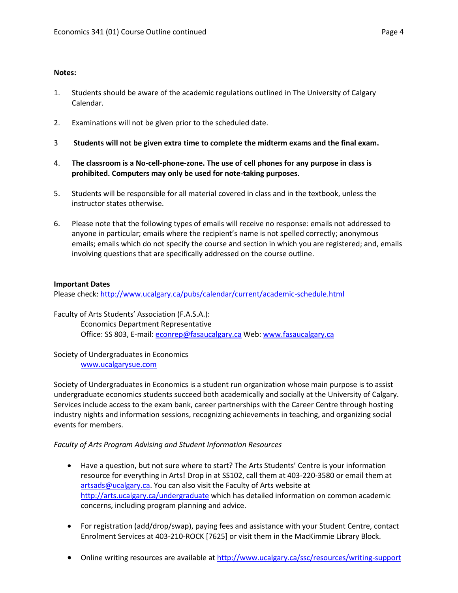# **Notes:**

- 1. Students should be aware of the academic regulations outlined in The University of Calgary Calendar.
- 2. Examinations will not be given prior to the scheduled date.
- 3 **Students will not be given extra time to complete the midterm exams and the final exam.**
- 4. **The classroom is a No-cell-phone-zone. The use of cell phones for any purpose in class is prohibited. Computers may only be used for note-taking purposes.**
- 5. Students will be responsible for all material covered in class and in the textbook, unless the instructor states otherwise.
- 6. Please note that the following types of emails will receive no response: emails not addressed to anyone in particular; emails where the recipient's name is not spelled correctly; anonymous emails; emails which do not specify the course and section in which you are registered; and, emails involving questions that are specifically addressed on the course outline.

# **Important Dates**

Please check:<http://www.ucalgary.ca/pubs/calendar/current/academic-schedule.html>

Faculty of Arts Students' Association (F.A.S.A.): Economics Department Representative Office: SS 803, E-mail: [econrep@fasaucalgary.ca](mailto:econrep@fasaucalgary.ca) Web: [www.fasaucalgary.ca](http://www.fasaucalgary.ca/)

# Society of Undergraduates in Economics [www.ucalgarysue.com](http://www.ucalgarysue.com/)

Society of Undergraduates in Economics is a student run organization whose main purpose is to assist undergraduate economics students succeed both academically and socially at the University of Calgary. Services include access to the exam bank, career partnerships with the Career Centre through hosting industry nights and information sessions, recognizing achievements in teaching, and organizing social events for members.

# *Faculty of Arts Program Advising and Student Information Resources*

- Have a question, but not sure where to start? The Arts Students' Centre is your information resource for everything in Arts! Drop in at SS102, call them at 403-220-3580 or email them at [artsads@ucalgary.ca.](mailto:artsads@ucalgary.ca) You can also visit the Faculty of Arts website at <http://arts.ucalgary.ca/undergraduate> which has detailed information on common academic concerns, including program planning and advice.
- For registration (add/drop/swap), paying fees and assistance with your Student Centre, contact Enrolment Services at 403-210-ROCK [7625] or visit them in the MacKimmie Library Block.
- Online writing resources are available at<http://www.ucalgary.ca/ssc/resources/writing-support>